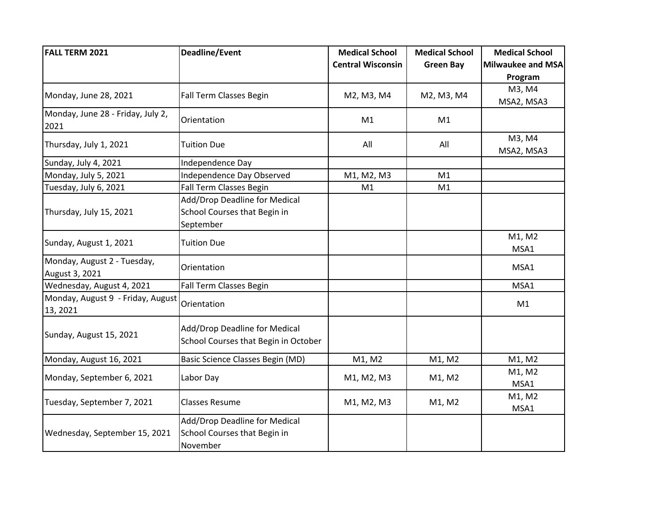| <b>FALL TERM 2021</b>                         | <b>Deadline/Event</b>                                                      | <b>Medical School</b>    | <b>Medical School</b> | <b>Medical School</b>    |
|-----------------------------------------------|----------------------------------------------------------------------------|--------------------------|-----------------------|--------------------------|
|                                               |                                                                            | <b>Central Wisconsin</b> | <b>Green Bay</b>      | <b>Milwaukee and MSA</b> |
|                                               |                                                                            |                          |                       | Program                  |
| Monday, June 28, 2021                         | Fall Term Classes Begin                                                    | M2, M3, M4               | M2, M3, M4            | M3, M4<br>MSA2, MSA3     |
| Monday, June 28 - Friday, July 2,<br>2021     | Orientation                                                                | M1                       | M1                    |                          |
| Thursday, July 1, 2021                        | <b>Tuition Due</b>                                                         | All                      | All                   | M3, M4<br>MSA2, MSA3     |
| Sunday, July 4, 2021                          | Independence Day                                                           |                          |                       |                          |
| Monday, July 5, 2021                          | Independence Day Observed                                                  | M1, M2, M3               | M1                    |                          |
| Tuesday, July 6, 2021                         | <b>Fall Term Classes Begin</b>                                             | M1                       | M1                    |                          |
| Thursday, July 15, 2021                       | Add/Drop Deadline for Medical<br>School Courses that Begin in<br>September |                          |                       |                          |
| Sunday, August 1, 2021                        | <b>Tuition Due</b>                                                         |                          |                       | M1, M2<br>MSA1           |
| Monday, August 2 - Tuesday,<br>August 3, 2021 | Orientation                                                                |                          |                       | MSA1                     |
| Wednesday, August 4, 2021                     | Fall Term Classes Begin                                                    |                          |                       | MSA1                     |
| Monday, August 9 - Friday, August<br>13, 2021 | Orientation                                                                |                          |                       | M1                       |
| Sunday, August 15, 2021                       | Add/Drop Deadline for Medical<br>School Courses that Begin in October      |                          |                       |                          |
| Monday, August 16, 2021                       | Basic Science Classes Begin (MD)                                           | M1, M2                   | M1, M2                | M1, M2                   |
| Monday, September 6, 2021                     | Labor Day                                                                  | M1, M2, M3               | M1, M2                | M1, M2<br>MSA1           |
| Tuesday, September 7, 2021                    | <b>Classes Resume</b>                                                      | M1, M2, M3               | M1, M2                | M1, M2<br>MSA1           |
| Wednesday, September 15, 2021                 | Add/Drop Deadline for Medical<br>School Courses that Begin in<br>November  |                          |                       |                          |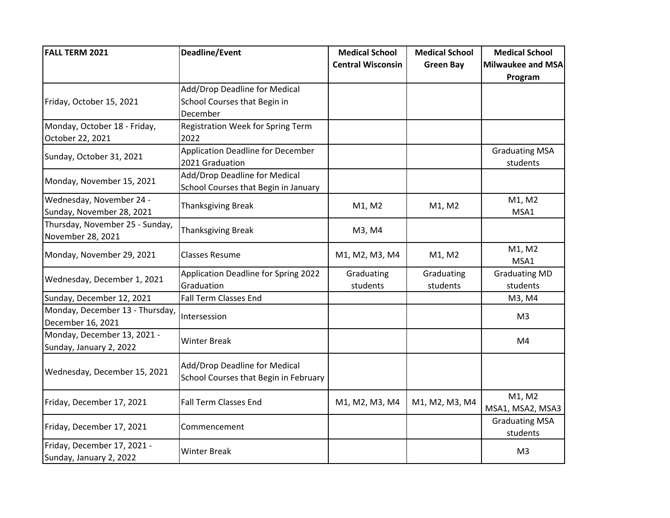| <b>FALL TERM 2021</b>           | <b>Deadline/Event</b>                    | <b>Medical School</b>    | <b>Medical School</b> | <b>Medical School</b> |
|---------------------------------|------------------------------------------|--------------------------|-----------------------|-----------------------|
|                                 |                                          | <b>Central Wisconsin</b> | <b>Green Bay</b>      | Milwaukee and MSA     |
|                                 |                                          |                          |                       | Program               |
|                                 | Add/Drop Deadline for Medical            |                          |                       |                       |
| Friday, October 15, 2021        | School Courses that Begin in             |                          |                       |                       |
|                                 | December                                 |                          |                       |                       |
| Monday, October 18 - Friday,    | Registration Week for Spring Term        |                          |                       |                       |
| October 22, 2021                | 2022                                     |                          |                       |                       |
|                                 | <b>Application Deadline for December</b> |                          |                       | <b>Graduating MSA</b> |
| Sunday, October 31, 2021        | 2021 Graduation                          |                          |                       | students              |
|                                 | Add/Drop Deadline for Medical            |                          |                       |                       |
| Monday, November 15, 2021       | School Courses that Begin in January     |                          |                       |                       |
| Wednesday, November 24 -        |                                          |                          | M1, M2                | M1, M2                |
| Sunday, November 28, 2021       | <b>Thanksgiving Break</b>                | M1, M2                   |                       | MSA1                  |
| Thursday, November 25 - Sunday, |                                          | M3, M4                   |                       |                       |
| November 28, 2021               | <b>Thanksgiving Break</b>                |                          |                       |                       |
|                                 | <b>Classes Resume</b>                    | M1, M2, M3, M4           | M1, M2                | M1, M2                |
| Monday, November 29, 2021       |                                          |                          |                       | MSA1                  |
|                                 | Application Deadline for Spring 2022     | Graduating               | Graduating            | <b>Graduating MD</b>  |
| Wednesday, December 1, 2021     | Graduation                               | students                 | students              | students              |
| Sunday, December 12, 2021       | <b>Fall Term Classes End</b>             |                          |                       | M3, M4                |
| Monday, December 13 - Thursday, | Intersession                             |                          |                       | M <sub>3</sub>        |
| December 16, 2021               |                                          |                          |                       |                       |
| Monday, December 13, 2021 -     | <b>Winter Break</b>                      |                          |                       | M4                    |
| Sunday, January 2, 2022         |                                          |                          |                       |                       |
|                                 | Add/Drop Deadline for Medical            |                          |                       |                       |
| Wednesday, December 15, 2021    | School Courses that Begin in February    |                          |                       |                       |
|                                 |                                          |                          |                       |                       |
| Friday, December 17, 2021       | <b>Fall Term Classes End</b>             | M1, M2, M3, M4           | M1, M2, M3, M4        | M1, M2                |
|                                 |                                          |                          |                       | MSA1, MSA2, MSA3      |
| Friday, December 17, 2021       | Commencement                             |                          |                       | <b>Graduating MSA</b> |
|                                 |                                          |                          |                       | students              |
| Friday, December 17, 2021 -     | <b>Winter Break</b>                      |                          |                       | M <sub>3</sub>        |
| Sunday, January 2, 2022         |                                          |                          |                       |                       |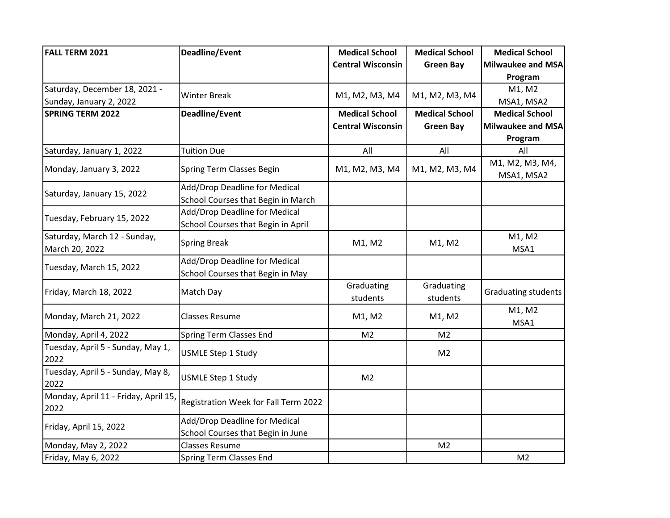| <b>FALL TERM 2021</b>                          | <b>Deadline/Event</b>                                              | <b>Medical School</b>    | <b>Medical School</b>  | <b>Medical School</b>         |
|------------------------------------------------|--------------------------------------------------------------------|--------------------------|------------------------|-------------------------------|
|                                                |                                                                    | <b>Central Wisconsin</b> | <b>Green Bay</b>       | <b>Milwaukee and MSA</b>      |
|                                                |                                                                    |                          |                        | Program                       |
| Saturday, December 18, 2021 -                  | <b>Winter Break</b>                                                | M1, M2, M3, M4           | M1, M2, M3, M4         | M1, M2                        |
| Sunday, January 2, 2022                        |                                                                    |                          |                        | MSA1, MSA2                    |
| <b>SPRING TERM 2022</b>                        | Deadline/Event                                                     | <b>Medical School</b>    | <b>Medical School</b>  | <b>Medical School</b>         |
|                                                |                                                                    | <b>Central Wisconsin</b> | <b>Green Bay</b>       | Milwaukee and MSA             |
|                                                |                                                                    |                          |                        | Program                       |
| Saturday, January 1, 2022                      | <b>Tuition Due</b>                                                 | All                      | All                    | All                           |
| Monday, January 3, 2022                        | Spring Term Classes Begin                                          | M1, M2, M3, M4           | M1, M2, M3, M4         | M1, M2, M3, M4,<br>MSA1, MSA2 |
|                                                | Add/Drop Deadline for Medical                                      |                          |                        |                               |
| Saturday, January 15, 2022                     | School Courses that Begin in March                                 |                          |                        |                               |
|                                                | Add/Drop Deadline for Medical                                      |                          |                        |                               |
| Tuesday, February 15, 2022                     | School Courses that Begin in April                                 |                          |                        |                               |
| Saturday, March 12 - Sunday,<br>March 20, 2022 | <b>Spring Break</b>                                                | M1, M2                   | M1, M2                 | M1, M2<br>MSA1                |
|                                                | Add/Drop Deadline for Medical                                      |                          |                        |                               |
| Tuesday, March 15, 2022                        | School Courses that Begin in May                                   |                          |                        |                               |
| Friday, March 18, 2022                         | Match Day                                                          | Graduating<br>students   | Graduating<br>students | <b>Graduating students</b>    |
| Monday, March 21, 2022                         | <b>Classes Resume</b>                                              | M1, M2                   | M1, M2                 | M1, M2<br>MSA1                |
| Monday, April 4, 2022                          | Spring Term Classes End                                            | M <sub>2</sub>           | M <sub>2</sub>         |                               |
| Tuesday, April 5 - Sunday, May 1,<br>2022      | <b>USMLE Step 1 Study</b>                                          |                          | M <sub>2</sub>         |                               |
| Tuesday, April 5 - Sunday, May 8,<br>2022      | <b>USMLE Step 1 Study</b>                                          | M <sub>2</sub>           |                        |                               |
| Monday, April 11 - Friday, April 15<br>2022    | Registration Week for Fall Term 2022                               |                          |                        |                               |
| Friday, April 15, 2022                         | Add/Drop Deadline for Medical<br>School Courses that Begin in June |                          |                        |                               |
| Monday, May 2, 2022                            | <b>Classes Resume</b>                                              |                          | M <sub>2</sub>         |                               |
| Friday, May 6, 2022                            | Spring Term Classes End                                            |                          |                        | M <sub>2</sub>                |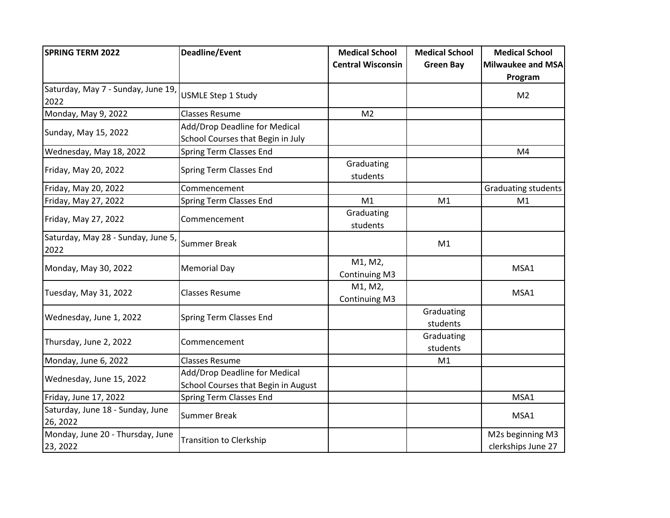| <b>SPRING TERM 2022</b>                      | <b>Deadline/Event</b>                                                | <b>Medical School</b>           | <b>Medical School</b>  | <b>Medical School</b>                  |
|----------------------------------------------|----------------------------------------------------------------------|---------------------------------|------------------------|----------------------------------------|
|                                              |                                                                      | <b>Central Wisconsin</b>        | <b>Green Bay</b>       | <b>Milwaukee and MSA</b>               |
|                                              |                                                                      |                                 |                        | Program                                |
| Saturday, May 7 - Sunday, June 19,<br>2022   | <b>USMLE Step 1 Study</b>                                            |                                 |                        | M <sub>2</sub>                         |
| Monday, May 9, 2022                          | <b>Classes Resume</b>                                                | M <sub>2</sub>                  |                        |                                        |
| Sunday, May 15, 2022                         | Add/Drop Deadline for Medical<br>School Courses that Begin in July   |                                 |                        |                                        |
| Wednesday, May 18, 2022                      | <b>Spring Term Classes End</b>                                       |                                 |                        | M4                                     |
| Friday, May 20, 2022                         | <b>Spring Term Classes End</b>                                       | Graduating<br>students          |                        |                                        |
| Friday, May 20, 2022                         | Commencement                                                         |                                 |                        | <b>Graduating students</b>             |
| Friday, May 27, 2022                         | <b>Spring Term Classes End</b>                                       | M1                              | M1                     | M1                                     |
| Friday, May 27, 2022                         | Commencement                                                         | Graduating<br>students          |                        |                                        |
| Saturday, May 28 - Sunday, June 5,<br>2022   | <b>Summer Break</b>                                                  |                                 | M1                     |                                        |
| Monday, May 30, 2022                         | <b>Memorial Day</b>                                                  | M1, M2,<br><b>Continuing M3</b> |                        | MSA1                                   |
| Tuesday, May 31, 2022                        | <b>Classes Resume</b>                                                | M1, M2,<br>Continuing M3        |                        | MSA1                                   |
| Wednesday, June 1, 2022                      | <b>Spring Term Classes End</b>                                       |                                 | Graduating<br>students |                                        |
| Thursday, June 2, 2022                       | Commencement                                                         |                                 | Graduating<br>students |                                        |
| Monday, June 6, 2022                         | <b>Classes Resume</b>                                                |                                 | M1                     |                                        |
| Wednesday, June 15, 2022                     | Add/Drop Deadline for Medical<br>School Courses that Begin in August |                                 |                        |                                        |
| Friday, June 17, 2022                        | Spring Term Classes End                                              |                                 |                        | MSA1                                   |
| Saturday, June 18 - Sunday, June<br>26, 2022 | <b>Summer Break</b>                                                  |                                 |                        | MSA1                                   |
| Monday, June 20 - Thursday, June<br>23, 2022 | <b>Transition to Clerkship</b>                                       |                                 |                        | M2s beginning M3<br>clerkships June 27 |